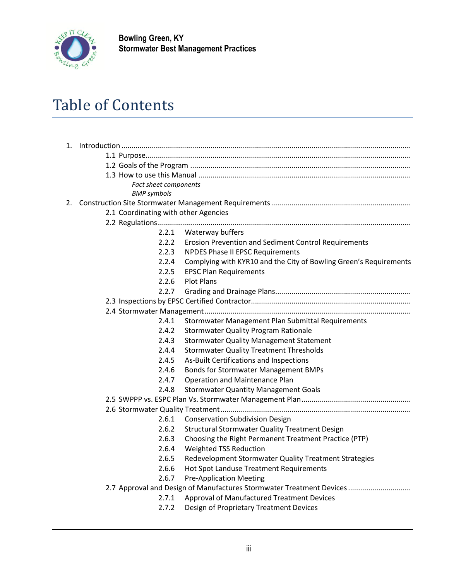

**Bowling Green, KY Stormwater Best Management Practices**

## Table of Contents

| <b>Fact sheet components</b>                                         |                                                                   |  |
|----------------------------------------------------------------------|-------------------------------------------------------------------|--|
| <b>BMP</b> symbols                                                   |                                                                   |  |
|                                                                      |                                                                   |  |
| 2.1 Coordinating with other Agencies                                 |                                                                   |  |
|                                                                      |                                                                   |  |
|                                                                      | 2.2.1 Waterway buffers                                            |  |
| 2.2.2                                                                | Erosion Prevention and Sediment Control Requirements              |  |
| 2.2.3                                                                | <b>NPDES Phase II EPSC Requirements</b>                           |  |
| 2.2.4                                                                | Complying with KYR10 and the City of Bowling Green's Requirements |  |
| 2.2.5                                                                | <b>EPSC Plan Requirements</b>                                     |  |
| 2.2.6                                                                | <b>Plot Plans</b>                                                 |  |
| 2.2.7                                                                |                                                                   |  |
|                                                                      |                                                                   |  |
|                                                                      |                                                                   |  |
| 2.4.1                                                                | Stormwater Management Plan Submittal Requirements                 |  |
| 2.4.2                                                                | <b>Stormwater Quality Program Rationale</b>                       |  |
| 2.4.3                                                                | <b>Stormwater Quality Management Statement</b>                    |  |
| 2.4.4                                                                | <b>Stormwater Quality Treatment Thresholds</b>                    |  |
| 2.4.5                                                                | As-Built Certifications and Inspections                           |  |
| 2.4.6                                                                | Bonds for Stormwater Management BMPs                              |  |
| 2.4.7                                                                | Operation and Maintenance Plan                                    |  |
| 2.4.8                                                                | <b>Stormwater Quantity Management Goals</b>                       |  |
|                                                                      |                                                                   |  |
|                                                                      |                                                                   |  |
| 2.6.1                                                                | <b>Conservation Subdivision Design</b>                            |  |
| 2.6.2                                                                | Structural Stormwater Quality Treatment Design                    |  |
| 2.6.3                                                                | Choosing the Right Permanent Treatment Practice (PTP)             |  |
| 2.6.4                                                                | <b>Weighted TSS Reduction</b>                                     |  |
| 2.6.5                                                                | Redevelopment Stormwater Quality Treatment Strategies             |  |
| 2.6.6                                                                | Hot Spot Landuse Treatment Requirements                           |  |
| 2.6.7                                                                | <b>Pre-Application Meeting</b>                                    |  |
| 2.7 Approval and Design of Manufactures Stormwater Treatment Devices |                                                                   |  |
| 2.7.1                                                                | Approval of Manufactured Treatment Devices                        |  |
| 2.7.2                                                                | Design of Proprietary Treatment Devices                           |  |
|                                                                      |                                                                   |  |